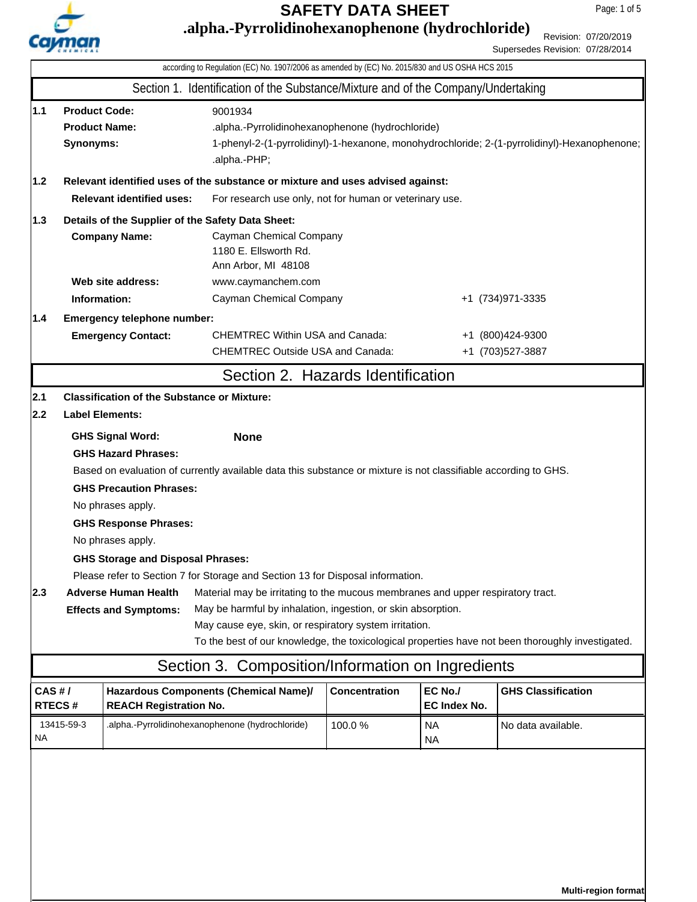

**.alpha.-Pyrrolidinohexanophenone (hydrochloride)**

Page: 1 of 5

Revision: 07/20/2019 Supersedes Revision: 07/28/2014

|                                                                                                                            |                                                                                                                                                                                                                                          |                                                                        | according to Regulation (EC) No. 1907/2006 as amended by (EC) No. 2015/830 and US OSHA HCS 2015                 |                      |                                |                                                                                                   |  |  |
|----------------------------------------------------------------------------------------------------------------------------|------------------------------------------------------------------------------------------------------------------------------------------------------------------------------------------------------------------------------------------|------------------------------------------------------------------------|-----------------------------------------------------------------------------------------------------------------|----------------------|--------------------------------|---------------------------------------------------------------------------------------------------|--|--|
|                                                                                                                            |                                                                                                                                                                                                                                          |                                                                        | Section 1. Identification of the Substance/Mixture and of the Company/Undertaking                               |                      |                                |                                                                                                   |  |  |
| 1.1                                                                                                                        | <b>Product Code:</b><br>9001934<br><b>Product Name:</b><br>.alpha.-Pyrrolidinohexanophenone (hydrochloride)<br>1-phenyl-2-(1-pyrrolidinyl)-1-hexanone, monohydrochloride; 2-(1-pyrrolidinyl)-Hexanophenone;<br>Synonyms:<br>.alpha.-PHP; |                                                                        |                                                                                                                 |                      |                                |                                                                                                   |  |  |
| 1.2                                                                                                                        | Relevant identified uses of the substance or mixture and uses advised against:                                                                                                                                                           |                                                                        |                                                                                                                 |                      |                                |                                                                                                   |  |  |
|                                                                                                                            | <b>Relevant identified uses:</b><br>For research use only, not for human or veterinary use.                                                                                                                                              |                                                                        |                                                                                                                 |                      |                                |                                                                                                   |  |  |
| 1.3                                                                                                                        |                                                                                                                                                                                                                                          | Details of the Supplier of the Safety Data Sheet:                      |                                                                                                                 |                      |                                |                                                                                                   |  |  |
| <b>Company Name:</b><br>Cayman Chemical Company<br>1180 E. Ellsworth Rd.<br>Ann Arbor, MI 48108                            |                                                                                                                                                                                                                                          |                                                                        |                                                                                                                 |                      |                                |                                                                                                   |  |  |
|                                                                                                                            |                                                                                                                                                                                                                                          | Web site address:                                                      | www.caymanchem.com                                                                                              |                      |                                |                                                                                                   |  |  |
| Information:                                                                                                               |                                                                                                                                                                                                                                          |                                                                        | Cayman Chemical Company                                                                                         |                      |                                | +1 (734) 971-3335                                                                                 |  |  |
|                                                                                                                            | Emergency telephone number:<br>1.4<br><b>Emergency Contact:</b>                                                                                                                                                                          |                                                                        | <b>CHEMTREC Within USA and Canada:</b><br><b>CHEMTREC Outside USA and Canada:</b>                               |                      |                                | +1 (800)424-9300<br>+1 (703) 527-3887                                                             |  |  |
|                                                                                                                            |                                                                                                                                                                                                                                          |                                                                        | Section 2. Hazards Identification                                                                               |                      |                                |                                                                                                   |  |  |
| 2.1                                                                                                                        |                                                                                                                                                                                                                                          | <b>Classification of the Substance or Mixture:</b>                     |                                                                                                                 |                      |                                |                                                                                                   |  |  |
| 2.2                                                                                                                        |                                                                                                                                                                                                                                          | <b>Label Elements:</b>                                                 |                                                                                                                 |                      |                                |                                                                                                   |  |  |
|                                                                                                                            |                                                                                                                                                                                                                                          | <b>GHS Signal Word:</b>                                                | <b>None</b>                                                                                                     |                      |                                |                                                                                                   |  |  |
|                                                                                                                            |                                                                                                                                                                                                                                          | <b>GHS Hazard Phrases:</b>                                             |                                                                                                                 |                      |                                |                                                                                                   |  |  |
|                                                                                                                            |                                                                                                                                                                                                                                          |                                                                        | Based on evaluation of currently available data this substance or mixture is not classifiable according to GHS. |                      |                                |                                                                                                   |  |  |
|                                                                                                                            |                                                                                                                                                                                                                                          | <b>GHS Precaution Phrases:</b>                                         |                                                                                                                 |                      |                                |                                                                                                   |  |  |
|                                                                                                                            |                                                                                                                                                                                                                                          | No phrases apply.                                                      |                                                                                                                 |                      |                                |                                                                                                   |  |  |
|                                                                                                                            | <b>GHS Response Phrases:</b>                                                                                                                                                                                                             |                                                                        |                                                                                                                 |                      |                                |                                                                                                   |  |  |
|                                                                                                                            |                                                                                                                                                                                                                                          | No phrases apply.                                                      |                                                                                                                 |                      |                                |                                                                                                   |  |  |
| <b>GHS Storage and Disposal Phrases:</b><br>Please refer to Section 7 for Storage and Section 13 for Disposal information. |                                                                                                                                                                                                                                          |                                                                        |                                                                                                                 |                      |                                |                                                                                                   |  |  |
| 2.3                                                                                                                        | Material may be irritating to the mucous membranes and upper respiratory tract.<br><b>Adverse Human Health</b>                                                                                                                           |                                                                        |                                                                                                                 |                      |                                |                                                                                                   |  |  |
|                                                                                                                            |                                                                                                                                                                                                                                          | <b>Effects and Symptoms:</b>                                           | May be harmful by inhalation, ingestion, or skin absorption.                                                    |                      |                                |                                                                                                   |  |  |
|                                                                                                                            |                                                                                                                                                                                                                                          |                                                                        | May cause eye, skin, or respiratory system irritation.                                                          |                      |                                |                                                                                                   |  |  |
|                                                                                                                            |                                                                                                                                                                                                                                          |                                                                        |                                                                                                                 |                      |                                | To the best of our knowledge, the toxicological properties have not been thoroughly investigated. |  |  |
|                                                                                                                            |                                                                                                                                                                                                                                          |                                                                        | Section 3. Composition/Information on Ingredients                                                               |                      |                                |                                                                                                   |  |  |
| CAS H/<br>RTECS#                                                                                                           |                                                                                                                                                                                                                                          | Hazardous Components (Chemical Name)/<br><b>REACH Registration No.</b> |                                                                                                                 | <b>Concentration</b> | EC No./<br><b>EC Index No.</b> | <b>GHS Classification</b>                                                                         |  |  |
| 13415-59-3<br><b>NA</b>                                                                                                    |                                                                                                                                                                                                                                          | .alpha.-Pyrrolidinohexanophenone (hydrochloride)                       |                                                                                                                 | 100.0%               | <b>NA</b><br><b>NA</b>         | No data available.                                                                                |  |  |
|                                                                                                                            |                                                                                                                                                                                                                                          |                                                                        |                                                                                                                 |                      |                                |                                                                                                   |  |  |
|                                                                                                                            |                                                                                                                                                                                                                                          |                                                                        |                                                                                                                 |                      |                                |                                                                                                   |  |  |

**Multi-region format**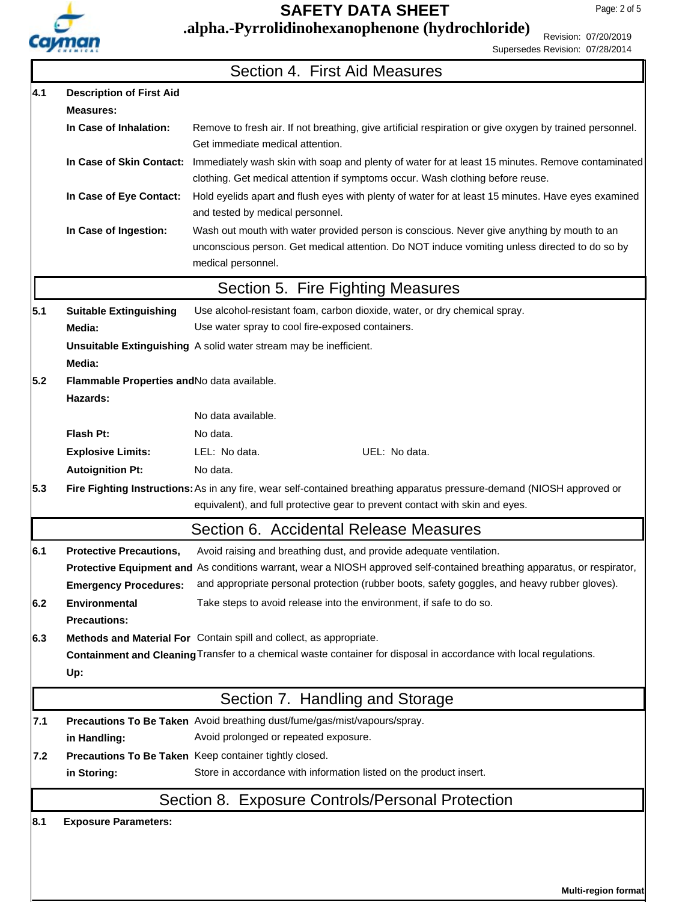

## **.alpha.-Pyrrolidinohexanophenone (hydrochloride)**

Revision: 07/20/2019 Supersedes Revision: 07/28/2014

|     |                                                                                                                    | Section 4. First Aid Measures                                                                                                                                                                                     |  |  |  |
|-----|--------------------------------------------------------------------------------------------------------------------|-------------------------------------------------------------------------------------------------------------------------------------------------------------------------------------------------------------------|--|--|--|
| 4.1 | <b>Description of First Aid</b>                                                                                    |                                                                                                                                                                                                                   |  |  |  |
|     | <b>Measures:</b>                                                                                                   |                                                                                                                                                                                                                   |  |  |  |
|     | In Case of Inhalation:                                                                                             | Remove to fresh air. If not breathing, give artificial respiration or give oxygen by trained personnel.<br>Get immediate medical attention.                                                                       |  |  |  |
|     | In Case of Skin Contact:                                                                                           | Immediately wash skin with soap and plenty of water for at least 15 minutes. Remove contaminated<br>clothing. Get medical attention if symptoms occur. Wash clothing before reuse.                                |  |  |  |
|     | In Case of Eye Contact:                                                                                            | Hold eyelids apart and flush eyes with plenty of water for at least 15 minutes. Have eyes examined<br>and tested by medical personnel.                                                                            |  |  |  |
|     | In Case of Ingestion:                                                                                              | Wash out mouth with water provided person is conscious. Never give anything by mouth to an<br>unconscious person. Get medical attention. Do NOT induce vomiting unless directed to do so by<br>medical personnel. |  |  |  |
|     |                                                                                                                    | Section 5. Fire Fighting Measures                                                                                                                                                                                 |  |  |  |
| 5.1 | <b>Suitable Extinguishing</b>                                                                                      | Use alcohol-resistant foam, carbon dioxide, water, or dry chemical spray.                                                                                                                                         |  |  |  |
|     | Media:                                                                                                             | Use water spray to cool fire-exposed containers.                                                                                                                                                                  |  |  |  |
|     | Media:                                                                                                             | Unsuitable Extinguishing A solid water stream may be inefficient.                                                                                                                                                 |  |  |  |
| 5.2 | Flammable Properties and No data available.<br>Hazards:                                                            |                                                                                                                                                                                                                   |  |  |  |
|     |                                                                                                                    | No data available.                                                                                                                                                                                                |  |  |  |
|     | Flash Pt:                                                                                                          | No data.                                                                                                                                                                                                          |  |  |  |
|     | <b>Explosive Limits:</b>                                                                                           | UEL: No data.<br>LEL: No data.                                                                                                                                                                                    |  |  |  |
|     | <b>Autoignition Pt:</b>                                                                                            | No data.                                                                                                                                                                                                          |  |  |  |
| 5.3 |                                                                                                                    | Fire Fighting Instructions: As in any fire, wear self-contained breathing apparatus pressure-demand (NIOSH approved or<br>equivalent), and full protective gear to prevent contact with skin and eyes.            |  |  |  |
|     |                                                                                                                    | Section 6. Accidental Release Measures                                                                                                                                                                            |  |  |  |
| 6.1 | <b>Protective Precautions,</b>                                                                                     | Avoid raising and breathing dust, and provide adequate ventilation.                                                                                                                                               |  |  |  |
|     |                                                                                                                    | Protective Equipment and As conditions warrant, wear a NIOSH approved self-contained breathing apparatus, or respirator,                                                                                          |  |  |  |
|     | <b>Emergency Procedures:</b>                                                                                       | and appropriate personal protection (rubber boots, safety goggles, and heavy rubber gloves).                                                                                                                      |  |  |  |
| 6.2 | Environmental<br><b>Precautions:</b>                                                                               | Take steps to avoid release into the environment, if safe to do so.                                                                                                                                               |  |  |  |
| 6.3 |                                                                                                                    | Methods and Material For Contain spill and collect, as appropriate.                                                                                                                                               |  |  |  |
|     | Containment and Cleaning Transfer to a chemical waste container for disposal in accordance with local regulations. |                                                                                                                                                                                                                   |  |  |  |
|     | Up:                                                                                                                |                                                                                                                                                                                                                   |  |  |  |
|     |                                                                                                                    | Section 7. Handling and Storage                                                                                                                                                                                   |  |  |  |
| 7.1 |                                                                                                                    | Precautions To Be Taken Avoid breathing dust/fume/gas/mist/vapours/spray.                                                                                                                                         |  |  |  |
|     | in Handling:                                                                                                       | Avoid prolonged or repeated exposure.                                                                                                                                                                             |  |  |  |
| 7.2 |                                                                                                                    | Precautions To Be Taken Keep container tightly closed.                                                                                                                                                            |  |  |  |
|     | in Storing:                                                                                                        | Store in accordance with information listed on the product insert.                                                                                                                                                |  |  |  |
|     |                                                                                                                    | Section 8. Exposure Controls/Personal Protection                                                                                                                                                                  |  |  |  |
| 8.1 | <b>Exposure Parameters:</b>                                                                                        |                                                                                                                                                                                                                   |  |  |  |
|     |                                                                                                                    |                                                                                                                                                                                                                   |  |  |  |

**Multi-region format**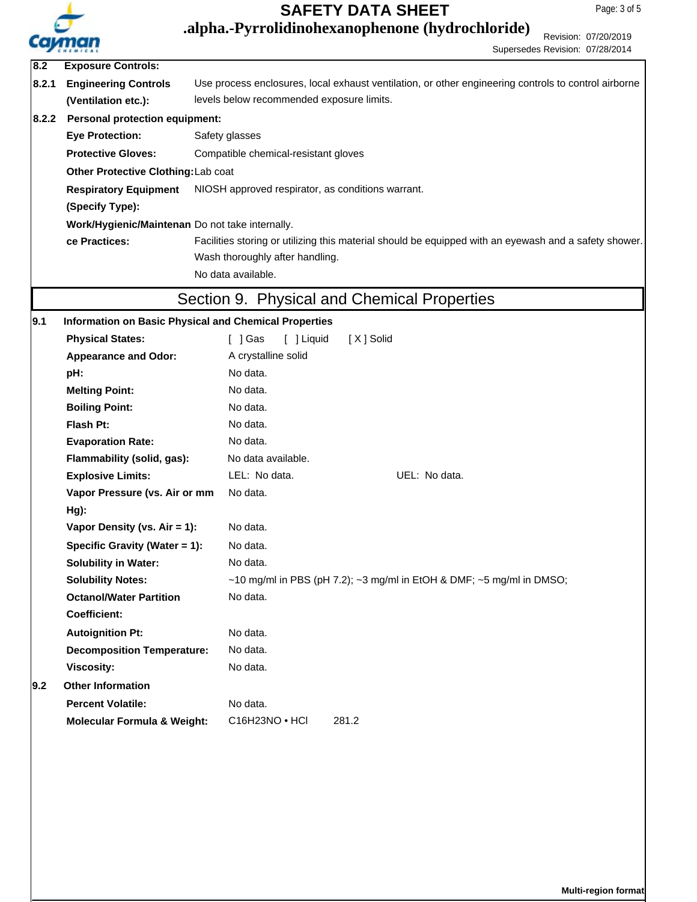

Revision: 07/20/2019 **.alpha.-Pyrrolidinohexanophenone (hydrochloride)**

Supersedes Revision: 07/28/2014 **8.2.1 Respiratory Equipment** NIOSH approved respirator, as conditions warrant. **(Specify Type): Eye Protection:** Safety glasses **Protective Gloves:** Compatible chemical-resistant gloves **Other Protective Clothing:**Lab coat Use process enclosures, local exhaust ventilation, or other engineering controls to control airborne levels below recommended exposure limits. **Engineering Controls (Ventilation etc.):** Work/Hygienic/Maintenan Do not take internally. Facilities storing or utilizing this material should be equipped with an eyewash and a safety shower. Wash thoroughly after handling. **ce Practices:** No data available. **8.2 Exposure Controls: 8.2.2 Personal protection equipment:** Section 9. Physical and Chemical Properties Physical States: [ ] Gas [ ] Liquid [ X ] Solid **Melting Point:** No data. **Boiling Point:** No data. **Flash Pt:** No data. **Explosive Limits:** LEL: No data. UEL: No data. **Vapor Pressure (vs. Air or mm Hg):** No data. **Vapor Density (vs. Air = 1):** No data. **Evaporation Rate:** No data. **pH:** No data. Appearance and Odor: A crystalline solid **9.1 Information on Basic Physical and Chemical Properties Flammability (solid, gas):** No data available. **Specific Gravity (Water = 1):** No data. **Solubility in Water:** No data. **Solubility Notes:** ~10 mg/ml in PBS (pH 7.2); ~3 mg/ml in EtOH & DMF; ~5 mg/ml in DMSO; **Octanol/Water Partition Coefficient:** No data. **Decomposition Temperature:** No data. Autoignition Pt: No data. **Viscosity:** No data. **Percent Volatile:** No data. **9.2 Other Information Molecular Formula & Weight:** C16H23NO • HCl 281.2

**Multi-region format**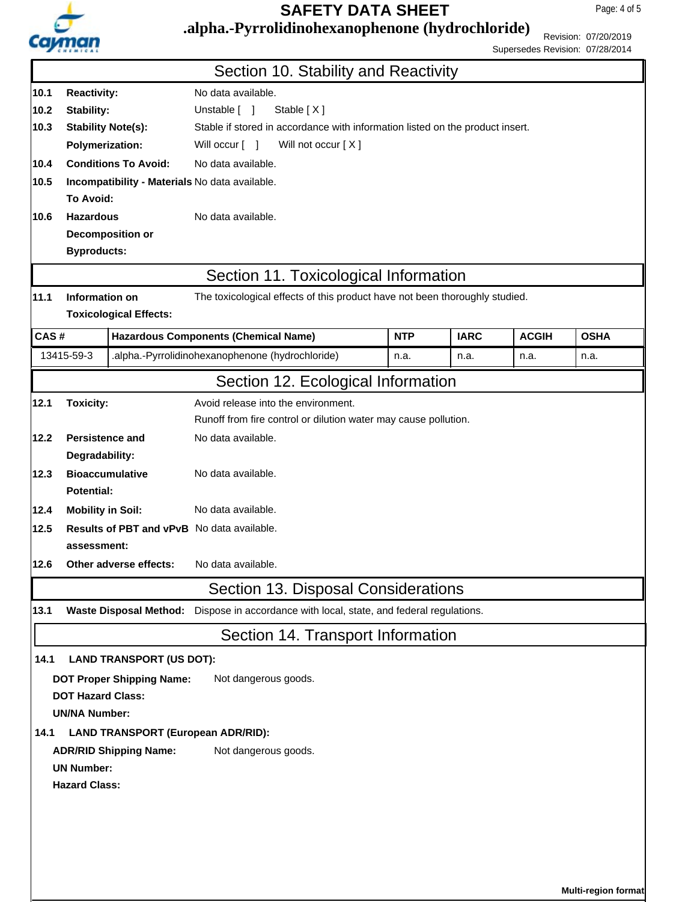

Page: 4 of 5

## **.alpha.-Pyrrolidinohexanophenone (hydrochloride)**

Revision: 07/20/2019 Supersedes Revision: 07/28/2014

|                                                   |                                                       |                                                | Section 10. Stability and Reactivity                                                     |            |             |              |             |  |  |
|---------------------------------------------------|-------------------------------------------------------|------------------------------------------------|------------------------------------------------------------------------------------------|------------|-------------|--------------|-------------|--|--|
| 10.1                                              | No data available.<br><b>Reactivity:</b>              |                                                |                                                                                          |            |             |              |             |  |  |
| 10.2                                              | Stability:                                            |                                                | Unstable [ ]<br>Stable $[X]$                                                             |            |             |              |             |  |  |
| 10.3                                              | <b>Stability Note(s):</b>                             |                                                | Stable if stored in accordance with information listed on the product insert.            |            |             |              |             |  |  |
|                                                   | <b>Polymerization:</b>                                |                                                | Will not occur [X]<br>Will occur [ ]                                                     |            |             |              |             |  |  |
| 10.4                                              | <b>Conditions To Avoid:</b>                           |                                                | No data available.                                                                       |            |             |              |             |  |  |
| 10.5                                              | Incompatibility - Materials No data available.        |                                                |                                                                                          |            |             |              |             |  |  |
|                                                   | To Avoid:                                             |                                                |                                                                                          |            |             |              |             |  |  |
| <b>Hazardous</b><br>No data available.<br>10.6    |                                                       |                                                |                                                                                          |            |             |              |             |  |  |
|                                                   | <b>Byproducts:</b>                                    |                                                | <b>Decomposition or</b>                                                                  |            |             |              |             |  |  |
|                                                   |                                                       |                                                |                                                                                          |            |             |              |             |  |  |
|                                                   |                                                       |                                                | Section 11. Toxicological Information                                                    |            |             |              |             |  |  |
| 11.1                                              | Information on                                        |                                                | The toxicological effects of this product have not been thoroughly studied.              |            |             |              |             |  |  |
|                                                   |                                                       | <b>Toxicological Effects:</b>                  |                                                                                          |            |             |              |             |  |  |
| CAS#                                              |                                                       |                                                | <b>Hazardous Components (Chemical Name)</b>                                              | <b>NTP</b> | <b>IARC</b> | <b>ACGIH</b> | <b>OSHA</b> |  |  |
|                                                   | 13415-59-3                                            |                                                | .alpha.-Pyrrolidinohexanophenone (hydrochloride)                                         | n.a.       | n.a.        | n.a.         | n.a.        |  |  |
|                                                   |                                                       |                                                | Section 12. Ecological Information                                                       |            |             |              |             |  |  |
| 12.1                                              | <b>Toxicity:</b>                                      |                                                | Avoid release into the environment.                                                      |            |             |              |             |  |  |
|                                                   |                                                       |                                                | Runoff from fire control or dilution water may cause pollution.                          |            |             |              |             |  |  |
| 12.2                                              | <b>Persistence and</b>                                |                                                | No data available.                                                                       |            |             |              |             |  |  |
|                                                   | Degradability:                                        |                                                |                                                                                          |            |             |              |             |  |  |
| 12.3                                              | <b>Bioaccumulative</b><br>No data available.          |                                                |                                                                                          |            |             |              |             |  |  |
|                                                   |                                                       | Potential:                                     |                                                                                          |            |             |              |             |  |  |
| 12.4                                              |                                                       | No data available.<br><b>Mobility in Soil:</b> |                                                                                          |            |             |              |             |  |  |
| 12.5                                              | Results of PBT and vPvB No data available.            |                                                |                                                                                          |            |             |              |             |  |  |
|                                                   | assessment:                                           |                                                |                                                                                          |            |             |              |             |  |  |
| 12.6                                              |                                                       |                                                | Other adverse effects: No data available.                                                |            |             |              |             |  |  |
|                                                   |                                                       |                                                | Section 13. Disposal Considerations                                                      |            |             |              |             |  |  |
| 13.1                                              |                                                       |                                                | Waste Disposal Method: Dispose in accordance with local, state, and federal regulations. |            |             |              |             |  |  |
|                                                   |                                                       |                                                | Section 14. Transport Information                                                        |            |             |              |             |  |  |
| 14.1                                              |                                                       | <b>LAND TRANSPORT (US DOT):</b>                |                                                                                          |            |             |              |             |  |  |
|                                                   |                                                       | <b>DOT Proper Shipping Name:</b>               | Not dangerous goods.                                                                     |            |             |              |             |  |  |
|                                                   | <b>DOT Hazard Class:</b>                              |                                                |                                                                                          |            |             |              |             |  |  |
| <b>UN/NA Number:</b>                              |                                                       |                                                |                                                                                          |            |             |              |             |  |  |
| 14.1<br><b>LAND TRANSPORT (European ADR/RID):</b> |                                                       |                                                |                                                                                          |            |             |              |             |  |  |
|                                                   | Not dangerous goods.<br><b>ADR/RID Shipping Name:</b> |                                                |                                                                                          |            |             |              |             |  |  |
|                                                   | <b>UN Number:</b>                                     |                                                |                                                                                          |            |             |              |             |  |  |
|                                                   | <b>Hazard Class:</b>                                  |                                                |                                                                                          |            |             |              |             |  |  |
|                                                   |                                                       |                                                |                                                                                          |            |             |              |             |  |  |
|                                                   |                                                       |                                                |                                                                                          |            |             |              |             |  |  |
|                                                   |                                                       |                                                |                                                                                          |            |             |              |             |  |  |
|                                                   |                                                       |                                                |                                                                                          |            |             |              |             |  |  |
|                                                   | Multi-region format                                   |                                                |                                                                                          |            |             |              |             |  |  |